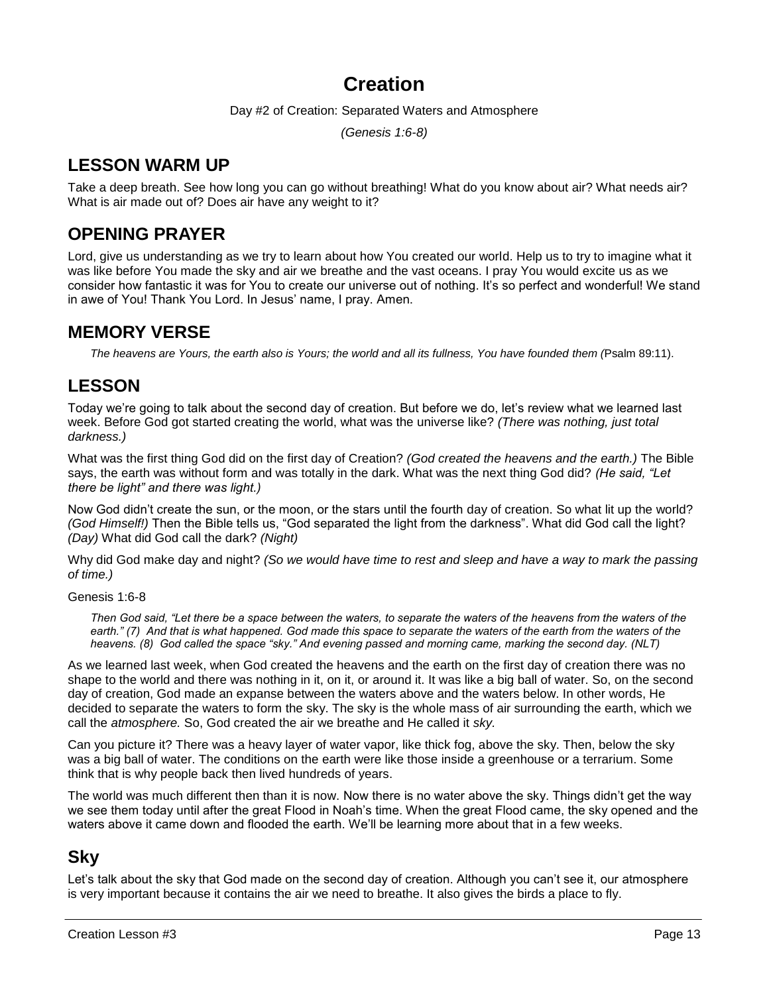# **Creation**

Day #2 of Creation: Separated Waters and Atmosphere

*(Genesis 1:6-8)*

# **LESSON WARM UP**

Take a deep breath. See how long you can go without breathing! What do you know about air? What needs air? What is air made out of? Does air have any weight to it?

# **OPENING PRAYER**

Lord, give us understanding as we try to learn about how You created our world. Help us to try to imagine what it was like before You made the sky and air we breathe and the vast oceans. I pray You would excite us as we consider how fantastic it was for You to create our universe out of nothing. It's so perfect and wonderful! We stand in awe of You! Thank You Lord. In Jesus' name, I pray. Amen.

# **MEMORY VERSE**

*The heavens are Yours, the earth also is Yours; the world and all its fullness, You have founded them (*Psalm 89:11).

# **LESSON**

Today we're going to talk about the second day of creation. But before we do, let's review what we learned last week. Before God got started creating the world, what was the universe like? *(There was nothing, just total darkness.)*

What was the first thing God did on the first day of Creation? *(God created the heavens and the earth.)* The Bible says, the earth was without form and was totally in the dark. What was the next thing God did? *(He said, "Let there be light" and there was light.)*

Now God didn't create the sun, or the moon, or the stars until the fourth day of creation. So what lit up the world? *(God Himself!)* Then the Bible tells us, "God separated the light from the darkness". What did God call the light? *(Day)* What did God call the dark? *(Night)*

Why did God make day and night? *(So we would have time to rest and sleep and have a way to mark the passing of time.)*

Genesis 1:6-8

*Then God said, "Let there be a space between the waters, to separate the waters of the heavens from the waters of the*  earth." (7) And that is what happened. God made this space to separate the waters of the earth from the waters of the *heavens. (8) God called the space "sky." And evening passed and morning came, marking the second day. (NLT)*

As we learned last week, when God created the heavens and the earth on the first day of creation there was no shape to the world and there was nothing in it, on it, or around it. It was like a big ball of water. So, on the second day of creation, God made an expanse between the waters above and the waters below. In other words, He decided to separate the waters to form the sky. The sky is the whole mass of air surrounding the earth, which we call the *atmosphere.* So, God created the air we breathe and He called it *sky.*

Can you picture it? There was a heavy layer of water vapor, like thick fog, above the sky. Then, below the sky was a big ball of water. The conditions on the earth were like those inside a greenhouse or a terrarium. Some think that is why people back then lived hundreds of years.

The world was much different then than it is now. Now there is no water above the sky. Things didn't get the way we see them today until after the great Flood in Noah's time. When the great Flood came, the sky opened and the waters above it came down and flooded the earth. We'll be learning more about that in a few weeks.

# **Sky**

Let's talk about the sky that God made on the second day of creation. Although you can't see it, our atmosphere is very important because it contains the air we need to breathe. It also gives the birds a place to fly.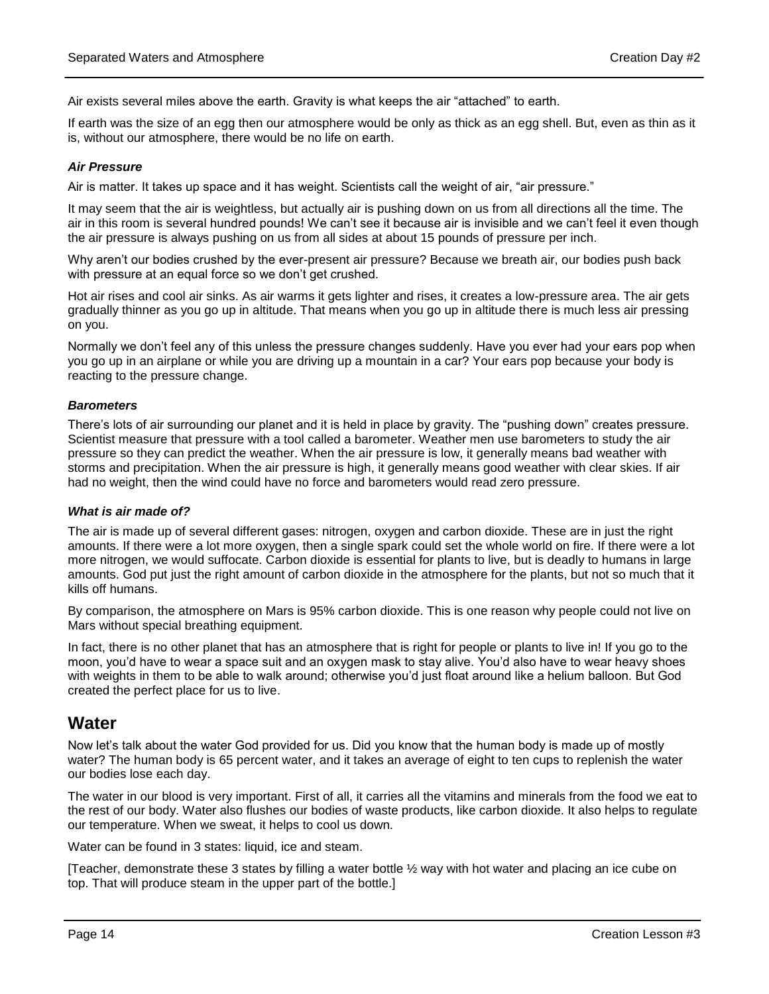Air exists several miles above the earth. Gravity is what keeps the air "attached" to earth.

If earth was the size of an egg then our atmosphere would be only as thick as an egg shell. But, even as thin as it is, without our atmosphere, there would be no life on earth.

#### *Air Pressure*

Air is matter. It takes up space and it has weight. Scientists call the weight of air, "air pressure."

It may seem that the air is weightless, but actually air is pushing down on us from all directions all the time. The air in this room is several hundred pounds! We can't see it because air is invisible and we can't feel it even though the air pressure is always pushing on us from all sides at about 15 pounds of pressure per inch.

Why aren't our bodies crushed by the ever-present air pressure? Because we breath air, our bodies push back with pressure at an equal force so we don't get crushed.

Hot air rises and cool air sinks. As air warms it gets lighter and rises, it creates a low-pressure area. The air gets gradually thinner as you go up in altitude. That means when you go up in altitude there is much less air pressing on you.

Normally we don't feel any of this unless the pressure changes suddenly. Have you ever had your ears pop when you go up in an airplane or while you are driving up a mountain in a car? Your ears pop because your body is reacting to the pressure change.

#### *Barometers*

There's lots of air surrounding our planet and it is held in place by gravity. The "pushing down" creates pressure. Scientist measure that pressure with a tool called a barometer. Weather men use barometers to study the air pressure so they can predict the weather. When the air pressure is low, it generally means bad weather with storms and precipitation. When the air pressure is high, it generally means good weather with clear skies. If air had no weight, then the wind could have no force and barometers would read zero pressure.

#### *What is air made of?*

The air is made up of several different gases: nitrogen, oxygen and carbon dioxide. These are in just the right amounts. If there were a lot more oxygen, then a single spark could set the whole world on fire. If there were a lot more nitrogen, we would suffocate. Carbon dioxide is essential for plants to live, but is deadly to humans in large amounts. God put just the right amount of carbon dioxide in the atmosphere for the plants, but not so much that it kills off humans.

By comparison, the atmosphere on Mars is 95% carbon dioxide. This is one reason why people could not live on Mars without special breathing equipment.

In fact, there is no other planet that has an atmosphere that is right for people or plants to live in! If you go to the moon, you'd have to wear a space suit and an oxygen mask to stay alive. You'd also have to wear heavy shoes with weights in them to be able to walk around; otherwise you'd just float around like a helium balloon. But God created the perfect place for us to live.

# **Water**

Now let's talk about the water God provided for us. Did you know that the human body is made up of mostly water? The human body is 65 percent water, and it takes an average of eight to ten cups to replenish the water our bodies lose each day.

The water in our blood is very important. First of all, it carries all the vitamins and minerals from the food we eat to the rest of our body. Water also flushes our bodies of waste products, like carbon dioxide. It also helps to regulate our temperature. When we sweat, it helps to cool us down.

Water can be found in 3 states: liquid, ice and steam.

[Teacher, demonstrate these 3 states by filling a water bottle ½ way with hot water and placing an ice cube on top. That will produce steam in the upper part of the bottle.]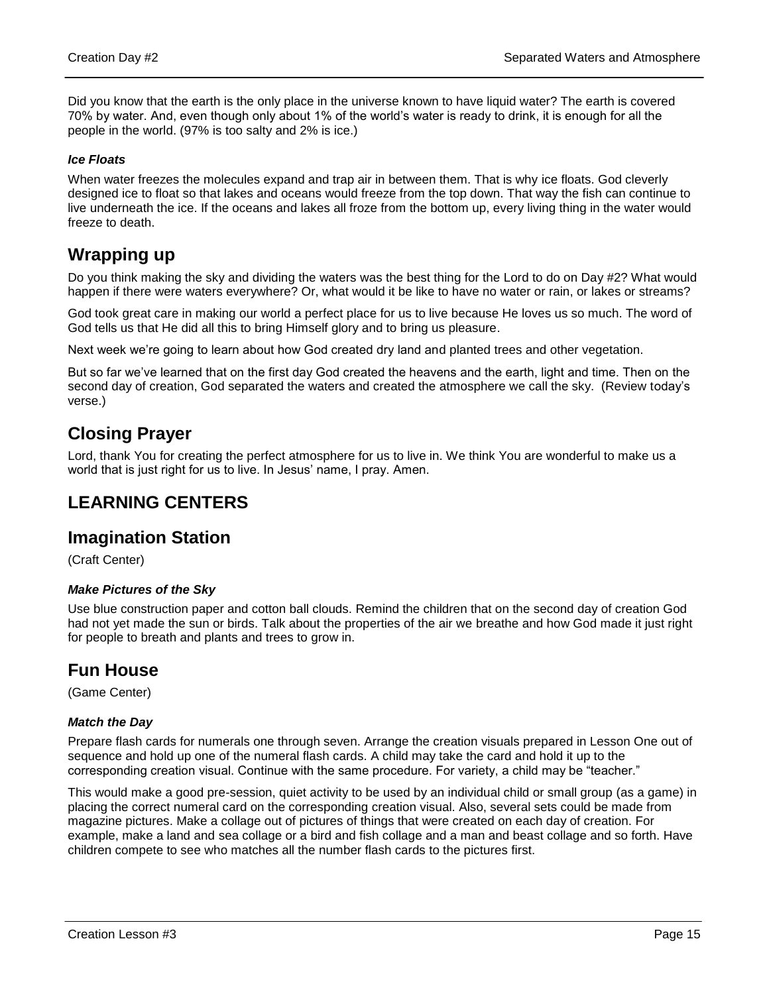Did you know that the earth is the only place in the universe known to have liquid water? The earth is covered 70% by water. And, even though only about 1% of the world's water is ready to drink, it is enough for all the people in the world. (97% is too salty and 2% is ice.)

#### *Ice Floats*

When water freezes the molecules expand and trap air in between them. That is why ice floats. God cleverly designed ice to float so that lakes and oceans would freeze from the top down. That way the fish can continue to live underneath the ice. If the oceans and lakes all froze from the bottom up, every living thing in the water would freeze to death.

# **Wrapping up**

Do you think making the sky and dividing the waters was the best thing for the Lord to do on Day #2? What would happen if there were waters everywhere? Or, what would it be like to have no water or rain, or lakes or streams?

God took great care in making our world a perfect place for us to live because He loves us so much. The word of God tells us that He did all this to bring Himself glory and to bring us pleasure.

Next week we're going to learn about how God created dry land and planted trees and other vegetation.

But so far we've learned that on the first day God created the heavens and the earth, light and time. Then on the second day of creation, God separated the waters and created the atmosphere we call the sky. (Review today's verse.)

# **Closing Prayer**

Lord, thank You for creating the perfect atmosphere for us to live in. We think You are wonderful to make us a world that is just right for us to live. In Jesus' name, I pray. Amen.

# **LEARNING CENTERS**

# **Imagination Station**

(Craft Center)

## *Make Pictures of the Sky*

Use blue construction paper and cotton ball clouds. Remind the children that on the second day of creation God had not yet made the sun or birds. Talk about the properties of the air we breathe and how God made it just right for people to breath and plants and trees to grow in.

# **Fun House**

(Game Center)

## *Match the Day*

Prepare flash cards for numerals one through seven. Arrange the creation visuals prepared in Lesson One out of sequence and hold up one of the numeral flash cards. A child may take the card and hold it up to the corresponding creation visual. Continue with the same procedure. For variety, a child may be "teacher."

This would make a good pre-session, quiet activity to be used by an individual child or small group (as a game) in placing the correct numeral card on the corresponding creation visual. Also, several sets could be made from magazine pictures. Make a collage out of pictures of things that were created on each day of creation. For example, make a land and sea collage or a bird and fish collage and a man and beast collage and so forth. Have children compete to see who matches all the number flash cards to the pictures first.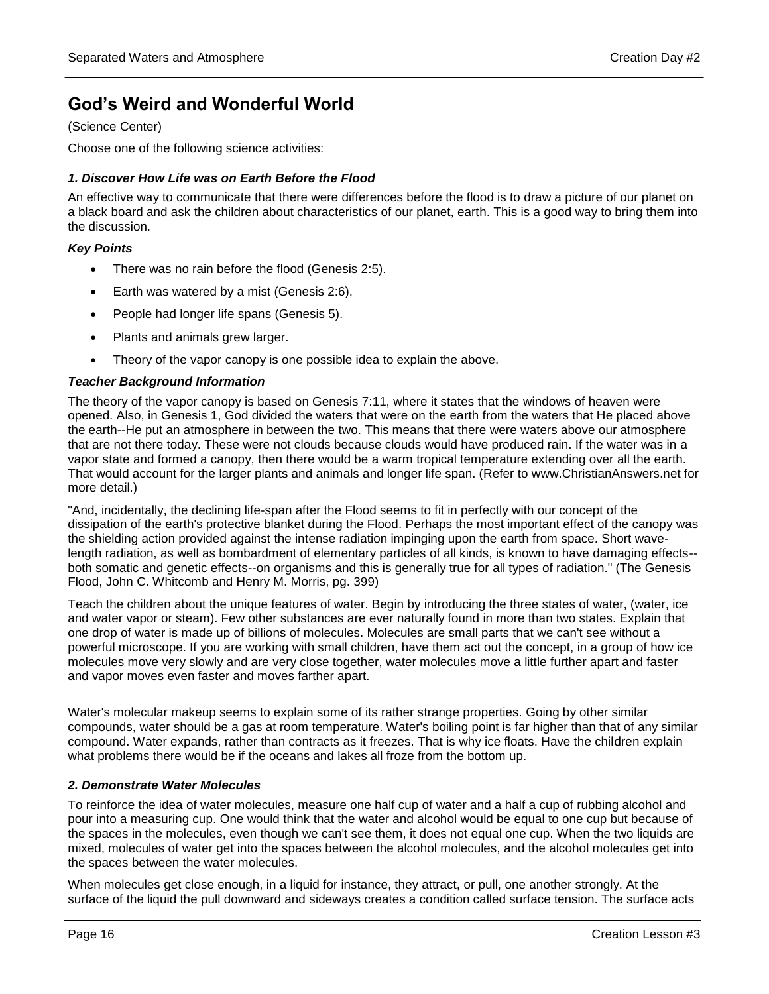# **God's Weird and Wonderful World**

(Science Center)

Choose one of the following science activities:

### *1. Discover How Life was on Earth Before the Flood*

An effective way to communicate that there were differences before the flood is to draw a picture of our planet on a black board and ask the children about characteristics of our planet, earth. This is a good way to bring them into the discussion.

#### *Key Points*

- There was no rain before the flood (Genesis 2:5).
- Earth was watered by a mist (Genesis 2:6).
- People had longer life spans (Genesis 5).
- Plants and animals grew larger.
- Theory of the vapor canopy is one possible idea to explain the above.

#### *Teacher Background Information*

The theory of the vapor canopy is based on Genesis 7:11, where it states that the windows of heaven were opened. Also, in Genesis 1, God divided the waters that were on the earth from the waters that He placed above the earth--He put an atmosphere in between the two. This means that there were waters above our atmosphere that are not there today. These were not clouds because clouds would have produced rain. If the water was in a vapor state and formed a canopy, then there would be a warm tropical temperature extending over all the earth. That would account for the larger plants and animals and longer life span. (Refer to www.ChristianAnswers.net for more detail.)

"And, incidentally, the declining life-span after the Flood seems to fit in perfectly with our concept of the dissipation of the earth's protective blanket during the Flood. Perhaps the most important effect of the canopy was the shielding action provided against the intense radiation impinging upon the earth from space. Short wavelength radiation, as well as bombardment of elementary particles of all kinds, is known to have damaging effects- both somatic and genetic effects--on organisms and this is generally true for all types of radiation." (The Genesis Flood, John C. Whitcomb and Henry M. Morris, pg. 399)

Teach the children about the unique features of water. Begin by introducing the three states of water, (water, ice and water vapor or steam). Few other substances are ever naturally found in more than two states. Explain that one drop of water is made up of billions of molecules. Molecules are small parts that we can't see without a powerful microscope. If you are working with small children, have them act out the concept, in a group of how ice molecules move very slowly and are very close together, water molecules move a little further apart and faster and vapor moves even faster and moves farther apart.

Water's molecular makeup seems to explain some of its rather strange properties. Going by other similar compounds, water should be a gas at room temperature. Water's boiling point is far higher than that of any similar compound. Water expands, rather than contracts as it freezes. That is why ice floats. Have the children explain what problems there would be if the oceans and lakes all froze from the bottom up.

## *2. Demonstrate Water Molecules*

To reinforce the idea of water molecules, measure one half cup of water and a half a cup of rubbing alcohol and pour into a measuring cup. One would think that the water and alcohol would be equal to one cup but because of the spaces in the molecules, even though we can't see them, it does not equal one cup. When the two liquids are mixed, molecules of water get into the spaces between the alcohol molecules, and the alcohol molecules get into the spaces between the water molecules.

When molecules get close enough, in a liquid for instance, they attract, or pull, one another strongly. At the surface of the liquid the pull downward and sideways creates a condition called surface tension. The surface acts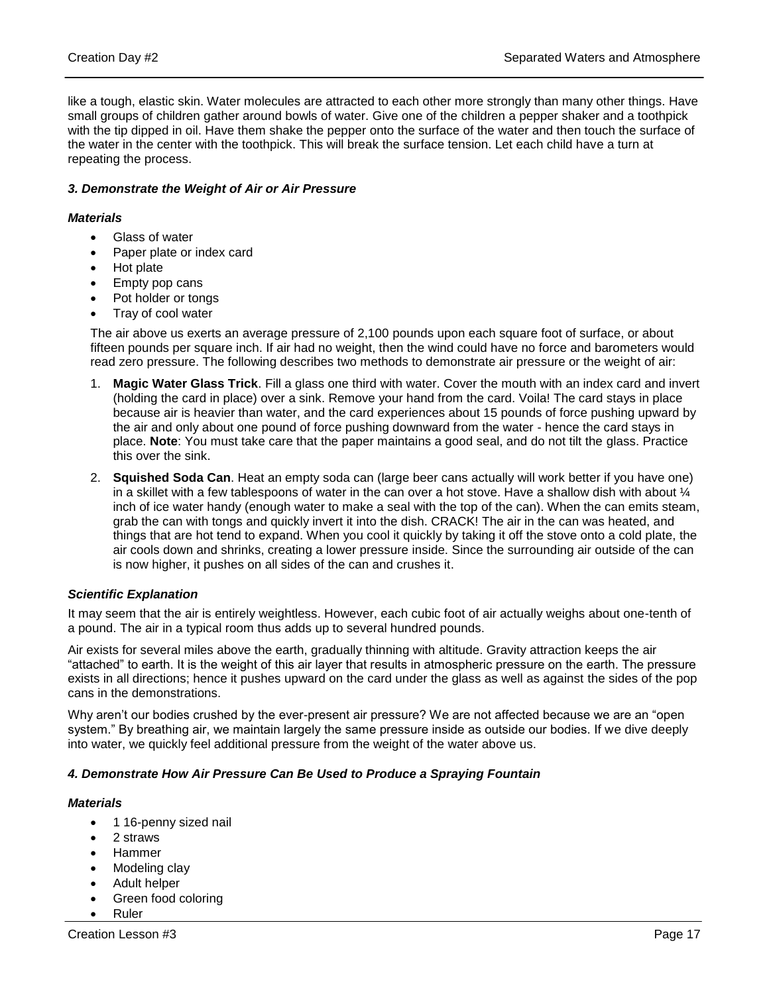like a tough, elastic skin. Water molecules are attracted to each other more strongly than many other things. Have small groups of children gather around bowls of water. Give one of the children a pepper shaker and a toothpick with the tip dipped in oil. Have them shake the pepper onto the surface of the water and then touch the surface of the water in the center with the toothpick. This will break the surface tension. Let each child have a turn at repeating the process.

#### *3. Demonstrate the Weight of Air or Air Pressure*

#### *Materials*

- Glass of water
- Paper plate or index card
- Hot plate
- Empty pop cans
- Pot holder or tongs
- Tray of cool water

The air above us exerts an average pressure of 2,100 pounds upon each square foot of surface, or about fifteen pounds per square inch. If air had no weight, then the wind could have no force and barometers would read zero pressure. The following describes two methods to demonstrate air pressure or the weight of air:

- 1. **Magic Water Glass Trick**. Fill a glass one third with water. Cover the mouth with an index card and invert (holding the card in place) over a sink. Remove your hand from the card. Voila! The card stays in place because air is heavier than water, and the card experiences about 15 pounds of force pushing upward by the air and only about one pound of force pushing downward from the water - hence the card stays in place. **Note**: You must take care that the paper maintains a good seal, and do not tilt the glass. Practice this over the sink.
- 2. **Squished Soda Can**. Heat an empty soda can (large beer cans actually will work better if you have one) in a skillet with a few tablespoons of water in the can over a hot stove. Have a shallow dish with about  $\mathcal{U}$ inch of ice water handy (enough water to make a seal with the top of the can). When the can emits steam, grab the can with tongs and quickly invert it into the dish. CRACK! The air in the can was heated, and things that are hot tend to expand. When you cool it quickly by taking it off the stove onto a cold plate, the air cools down and shrinks, creating a lower pressure inside. Since the surrounding air outside of the can is now higher, it pushes on all sides of the can and crushes it.

#### *Scientific Explanation*

It may seem that the air is entirely weightless. However, each cubic foot of air actually weighs about one-tenth of a pound. The air in a typical room thus adds up to several hundred pounds.

Air exists for several miles above the earth, gradually thinning with altitude. Gravity attraction keeps the air "attached" to earth. It is the weight of this air layer that results in atmospheric pressure on the earth. The pressure exists in all directions; hence it pushes upward on the card under the glass as well as against the sides of the pop cans in the demonstrations.

Why aren't our bodies crushed by the ever-present air pressure? We are not affected because we are an "open system." By breathing air, we maintain largely the same pressure inside as outside our bodies. If we dive deeply into water, we quickly feel additional pressure from the weight of the water above us.

#### *4. Demonstrate How Air Pressure Can Be Used to Produce a Spraying Fountain*

#### *Materials*

- 1 16-penny sized nail
- 2 straws
- Hammer
- Modeling clay
- Adult helper
- Green food coloring
- Ruler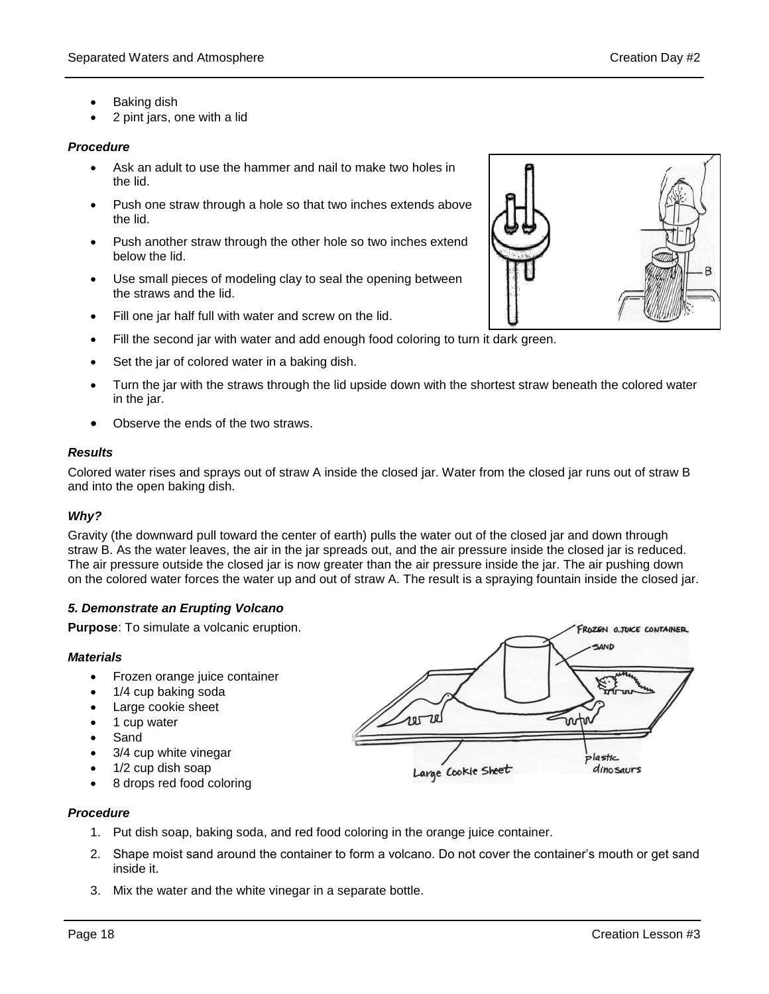- Baking dish
- 2 pint jars, one with a lid

## *Procedure*

- Ask an adult to use the hammer and nail to make two holes in the lid.
- Push one straw through a hole so that two inches extends above the lid.
- Push another straw through the other hole so two inches extend below the lid.
- Use small pieces of modeling clay to seal the opening between the straws and the lid.
- Fill one jar half full with water and screw on the lid.
- Fill the second jar with water and add enough food coloring to turn it dark green.
- Set the jar of colored water in a baking dish.
- Turn the jar with the straws through the lid upside down with the shortest straw beneath the colored water in the jar.
- Observe the ends of the two straws.

## *Results*

Colored water rises and sprays out of straw A inside the closed jar. Water from the closed jar runs out of straw B and into the open baking dish.

## *Why?*

Gravity (the downward pull toward the center of earth) pulls the water out of the closed jar and down through straw B. As the water leaves, the air in the jar spreads out, and the air pressure inside the closed jar is reduced. The air pressure outside the closed jar is now greater than the air pressure inside the jar. The air pushing down on the colored water forces the water up and out of straw A. The result is a spraying fountain inside the closed jar.

## *5. Demonstrate an Erupting Volcano*

**Purpose**: To simulate a volcanic eruption.

## *Materials*

- Frozen orange juice container
- 1/4 cup baking soda
- Large cookie sheet
- 1 cup water
- Sand
- 3/4 cup white vinegar
- 1/2 cup dish soap
- 8 drops red food coloring



#### *Procedure*

- 1. Put dish soap, baking soda, and red food coloring in the orange juice container.
- 2. Shape moist sand around the container to form a volcano. Do not cover the container's mouth or get sand inside it.
- 3. Mix the water and the white vinegar in a separate bottle.

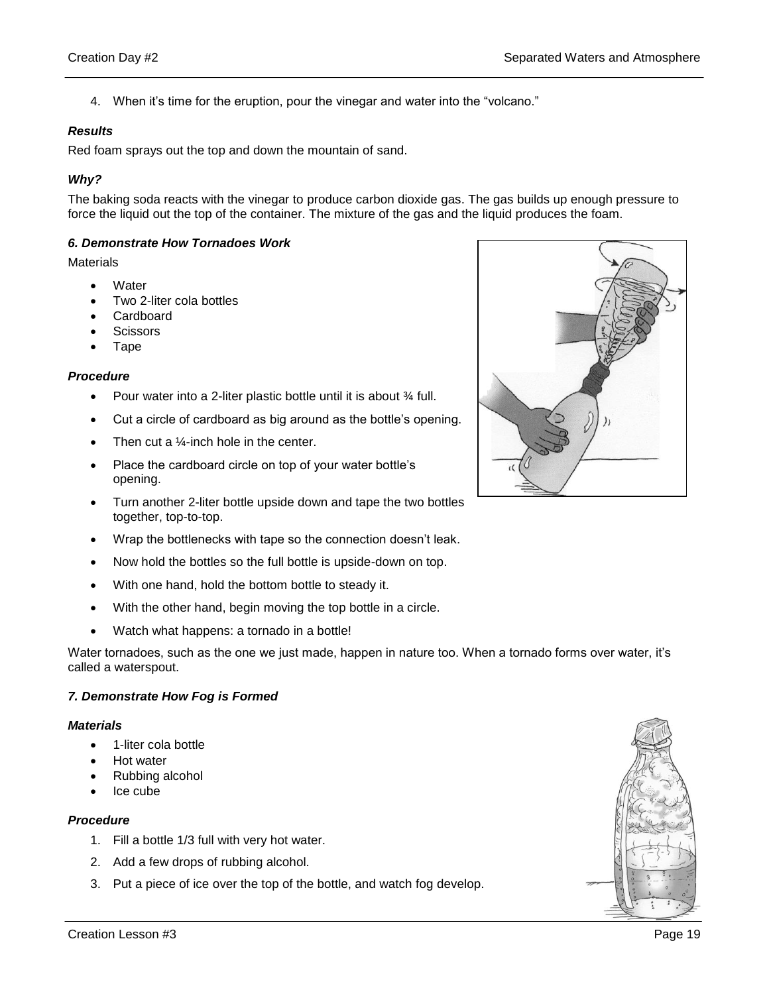4. When it's time for the eruption, pour the vinegar and water into the "volcano."

#### *Results*

Red foam sprays out the top and down the mountain of sand.

### *Why?*

The baking soda reacts with the vinegar to produce carbon dioxide gas. The gas builds up enough pressure to force the liquid out the top of the container. The mixture of the gas and the liquid produces the foam.

#### *6. Demonstrate How Tornadoes Work*

**Materials** 

- **Water**
- Two 2-liter cola bottles
- Cardboard
- **Scissors**
- Tape

#### *Procedure*

- Pour water into a 2-liter plastic bottle until it is about  $\frac{3}{4}$  full.
- Cut a circle of cardboard as big around as the bottle's opening.
- Then cut a  $\frac{1}{4}$ -inch hole in the center.
- Place the cardboard circle on top of your water bottle's opening.
- Turn another 2-liter bottle upside down and tape the two bottles together, top-to-top.
- Wrap the bottlenecks with tape so the connection doesn't leak.
- Now hold the bottles so the full bottle is upside-down on top.
- With one hand, hold the bottom bottle to steady it.
- With the other hand, begin moving the top bottle in a circle.
- Watch what happens: a tornado in a bottle!

Water tornadoes, such as the one we just made, happen in nature too. When a tornado forms over water, it's called a waterspout.

## *7. Demonstrate How Fog is Formed*

#### *Materials*

- 1-liter cola bottle
- Hot water
- Rubbing alcohol
- Ice cube

#### *Procedure*

- 1. Fill a bottle 1/3 full with very hot water.
- 2. Add a few drops of rubbing alcohol.
- 3. Put a piece of ice over the top of the bottle, and watch fog develop.